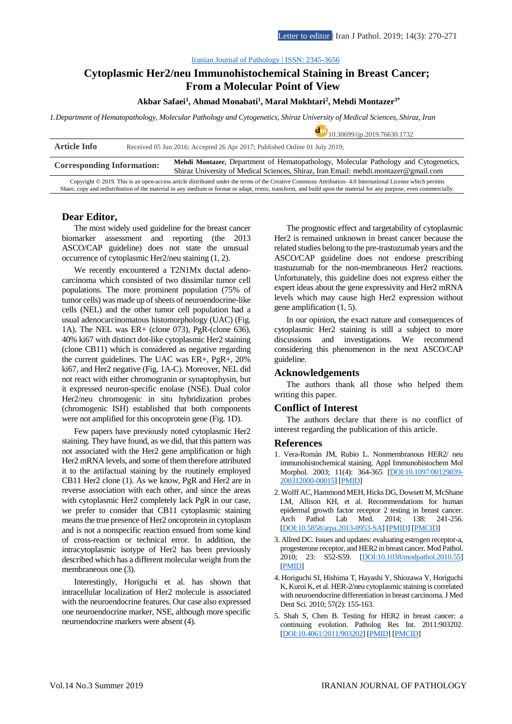doi <sub>10.30699</sub> ij .3019.76630.1732

#### [Iranian Journal of Pathology | ISSN: 2345-3656](http://ijp.iranpath.org/)

# **Cytoplasmic Her2/neu Immunohistochemical Staining in Breast Cancer; From a Molecular Point of View**

### **Akbar Safaei<sup>1</sup> , Ahmad Monabati<sup>1</sup> , Maral Mokhtari<sup>2</sup> , Mehdi Montazer3\***

*1.Department of Hematopathology, Molecular Pathology and Cytogenetics, Shiraz University of Medical Sciences, Shiraz, Iran*

|                                                                                                                                                                                                                                                                                                                                |                                                                            | 10.30099/11p.2019.70030.1732                                                                                                                                                |
|--------------------------------------------------------------------------------------------------------------------------------------------------------------------------------------------------------------------------------------------------------------------------------------------------------------------------------|----------------------------------------------------------------------------|-----------------------------------------------------------------------------------------------------------------------------------------------------------------------------|
| <b>Article Info</b>                                                                                                                                                                                                                                                                                                            | Received 05 Jun 2016; Accepted 26 Apr 2017; Published Online 01 July 2019; |                                                                                                                                                                             |
| <b>Corresponding Information:</b>                                                                                                                                                                                                                                                                                              |                                                                            | Mehdi Montazer, Department of Hematopathology, Molecular Pathology and Cytogenetics,<br>Shiraz University of Medical Sciences, Shiraz, Iran Email: mehdi.montazer@gmail.com |
| Copyright © 2019. This is an open-access article distributed under the terms of the Creative Commons Attribution-4.0 International License which permits<br>Share, copy and redistribution of the material in any medium or format or adapt, remix, transform, and build upon the material for any purpose, even commercially. |                                                                            |                                                                                                                                                                             |

### **Dear Editor,**

The most widely used guideline for the breast cancer biomarker assessment and reporting (the 2013 ASCO/CAP guideline) does not state the unusual occurrence of cytoplasmic Her2/neu staining (1, 2).

We recently encountered a T2N1Mx ductal adenocarcinoma which consisted of two dissimilar tumor cell populations. The more prominent population (75% of tumor cells) was made up of sheets of neuroendocrine-like cells (NEL) and the other tumor cell population had a usual adenocarcinomatous histomorphology (UAC) (Fig. 1A). The NEL was ER+ (clone 073), PgR-(clone 636), 40% ki67 with distinct dot-like cytoplasmic Her2 staining (clone CB11) which is considered as negative regarding the current guidelines. The UAC was ER+, PgR+, 20% ki67, and Her2 negative (Fig. 1A-C). Moreover, NEL did not react with either chromogranin or synaptophysin, but it expressed neuron-specific enolase (NSE). Dual color Her2/neu chromogenic in situ hybridization probes (chromogenic ISH) established that both components were not amplified for this oncoprotein gene (Fig. 1D).

Few papers have previously noted cytoplasmic Her2 staining. They have found, as we did, that this pattern was not associated with the Her2 gene amplification or high Her2 mRNA levels, and some of them therefore attributed it to the artifactual staining by the routinely employed CB11 Her2 clone (1). As we know, PgR and Her2 are in reverse association with each other, and since the areas with cytoplasmic Her2 completely lack PgR in our case, we prefer to consider that CB11 cytoplasmic staining means the true presence of Her2 oncoprotein in cytoplasm and is not a nonspecific reaction ensued from some kind of cross-reaction or technical error. In addition, the intracytoplasmic isotype of Her2 has been previously described which has a different molecular weight from the membraneous one (3).

Interestingly, Horiguchi et al. has shown that intracellular localization of Her2 molecule is associated with the neuroendocrine features. Our case also expressed one neuroendocrine marker, NSE, although more specific neuroendocrine markers were absent (4).

The prognostic effect and targetability of cytoplasmic Her2 is remained unknown in breast cancer because the related studies belong to the pre-trastuzumab years and the ASCO/CAP guideline does not endorse prescribing trastuzumab for the non-membraneous Her2 reactions. Unfortunately, this guideline does not express either the expert ideas about the gene expressivity and Her2 mRNA levels which may cause high Her2 expression without gene amplification (1, 5).

In our opinion, the exact nature and consequences of cytoplasmic Her2 staining is still a subject to more discussions and investigations. We recommend considering this phenomenon in the next ASCO/CAP guideline.

### **Acknowledgements**

The authors thank all those who helped them writing this paper.

## **Conflict of Interest**

The authors declare that there is no conflict of interest regarding the publication of this article.

#### **References**

- 1. Vera-Román JM, Rubio L. Nonmembranous HER2/ neu immunohistochemical staining. Appl Immunohistochem Mol Morphol. 2003; 11(4): 364-365 [\[DOI:10.1097/00129039-](https://doi.org/10.1097/00129039-200312000-00015) [200312000-00015\]](https://doi.org/10.1097/00129039-200312000-00015) [\[PMID\]](https://www.ncbi.nlm.nih.gov/pubmed/14663365)
- 2. Wolff AC, Hammond MEH, Hicks DG, Dowsett M, McShane LM, Allison KH, et al. Recommendations for human epidermal growth factor receptor 2 testing in breast cancer. Arch Pathol Lab Med. 2014; 138: 241-256. [\[DOI:10.5858/arpa.2013-0953-SA\]](https://doi.org/10.5858/arpa.2013-0953-SA) [\[PMID\]](https://www.ncbi.nlm.nih.gov/pubmed/24099077) [\[PMCID\]](http://www.ncbi.nlm.nih.gov/pmc/articles/PMC4086638)
- 3. Allred DC. Issues and updates: evaluating estrogen receptor-a, progesterone receptor, and HER2 in breast cancer. Mod Pathol. 2010; 23: S52-S59. [\[DOI:10.1038/modpathol.2010.55\]](https://doi.org/10.1038/modpathol.2010.55) [\[PMID\]](https://www.ncbi.nlm.nih.gov/pubmed/20436503)
- 4. Horiguchi SI, Hishima T, Hayashi Y, Shiozawa Y, Horiguchi K, Kuroi K, et al. HER-2/neu cytoplasmic staining is correlated with neuroendocrine differentiation in breast carcinoma. J Med Dent Sci. 2010; 57(2): 155-163.
- 5. Shah S, Chen B. Testing for HER2 in breast cancer: a continuing evolution. Patholog Res Int. 2011:903202. [\[DOI:10.4061/2011/903202\]](https://doi.org/10.4061/2011/903202) [\[PMID\]](https://www.ncbi.nlm.nih.gov/pubmed/21188214) [\[PMCID\]](http://www.ncbi.nlm.nih.gov/pmc/articles/PMC3005907)